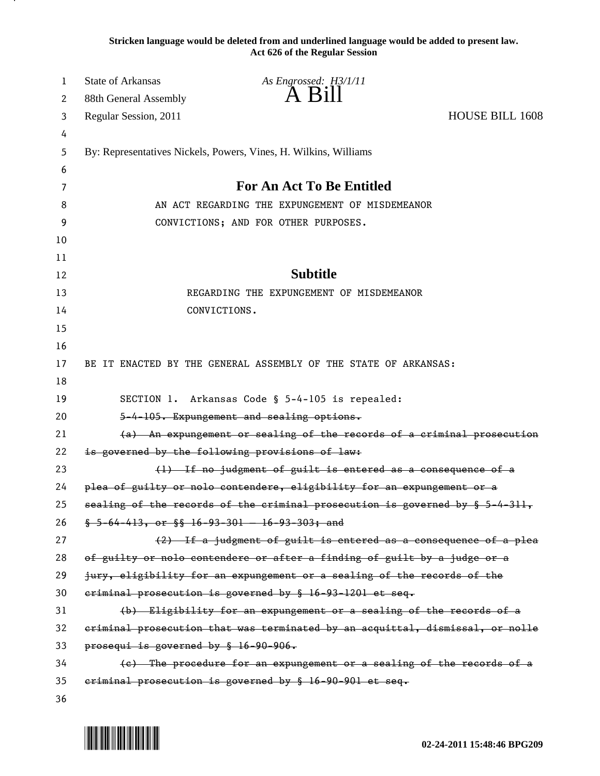**Stricken language would be deleted from and underlined language would be added to present law. Act 626 of the Regular Session**

| 1  | <b>State of Arkansas</b>                                               | As Engrossed: H3/1/11                                                         |                        |
|----|------------------------------------------------------------------------|-------------------------------------------------------------------------------|------------------------|
| 2  | 88th General Assembly                                                  | A Bill                                                                        |                        |
| 3  | Regular Session, 2011                                                  |                                                                               | <b>HOUSE BILL 1608</b> |
| 4  |                                                                        |                                                                               |                        |
| 5  |                                                                        | By: Representatives Nickels, Powers, Vines, H. Wilkins, Williams              |                        |
| 6  |                                                                        |                                                                               |                        |
| 7  |                                                                        | <b>For An Act To Be Entitled</b>                                              |                        |
| 8  |                                                                        | AN ACT REGARDING THE EXPUNGEMENT OF MISDEMEANOR                               |                        |
| 9  |                                                                        | CONVICTIONS; AND FOR OTHER PURPOSES.                                          |                        |
| 10 |                                                                        |                                                                               |                        |
| 11 |                                                                        |                                                                               |                        |
| 12 |                                                                        | <b>Subtitle</b>                                                               |                        |
| 13 |                                                                        | REGARDING THE EXPUNGEMENT OF MISDEMEANOR                                      |                        |
| 14 |                                                                        | CONVICTIONS.                                                                  |                        |
| 15 |                                                                        |                                                                               |                        |
| 16 |                                                                        |                                                                               |                        |
| 17 |                                                                        | BE IT ENACTED BY THE GENERAL ASSEMBLY OF THE STATE OF ARKANSAS:               |                        |
| 18 |                                                                        |                                                                               |                        |
| 19 |                                                                        | SECTION 1. Arkansas Code § 5-4-105 is repealed:                               |                        |
| 20 |                                                                        | 5-4-105. Expungement and sealing options.                                     |                        |
| 21 | (a) An expungement or sealing of the records of a criminal prosecution |                                                                               |                        |
| 22 |                                                                        | is governed by the following provisions of law:                               |                        |
| 23 |                                                                        | (1) If no judgment of guilt is entered as a consequence of a                  |                        |
| 24 |                                                                        | plea of guilty or nolo contendere, eligibility for an expungement or a        |                        |
| 25 |                                                                        | sealing of the records of the criminal prosecution is governed by § 5-4-311,  |                        |
| 26 |                                                                        | $$-5-64-413$ , or $$$ $$$ $16-93-301-16-93-303$ ; and                         |                        |
| 27 |                                                                        | (2) If a judgment of guilt is entered as a consequence of a plea              |                        |
| 28 |                                                                        | of guilty or nolo contendere or after a finding of guilt by a judge or a      |                        |
| 29 |                                                                        | jury, eligibility for an expungement or a sealing of the records of the       |                        |
| 30 |                                                                        | eriminal prosecution is governed by § 16-93-1201 et seq.                      |                        |
| 31 |                                                                        | (b) Eligibility for an expungement or a sealing of the records of a           |                        |
| 32 |                                                                        | eriminal prosecution that was terminated by an acquittal, dismissal, or nolle |                        |
| 33 | prosequi is governed by § 16-90-906.                                   |                                                                               |                        |
| 34 |                                                                        | (c) The procedure for an expungement or a sealing of the records of a         |                        |
| 35 |                                                                        | eriminal prosecution is governed by § 16-90-901 et seq.                       |                        |
| 36 |                                                                        |                                                                               |                        |

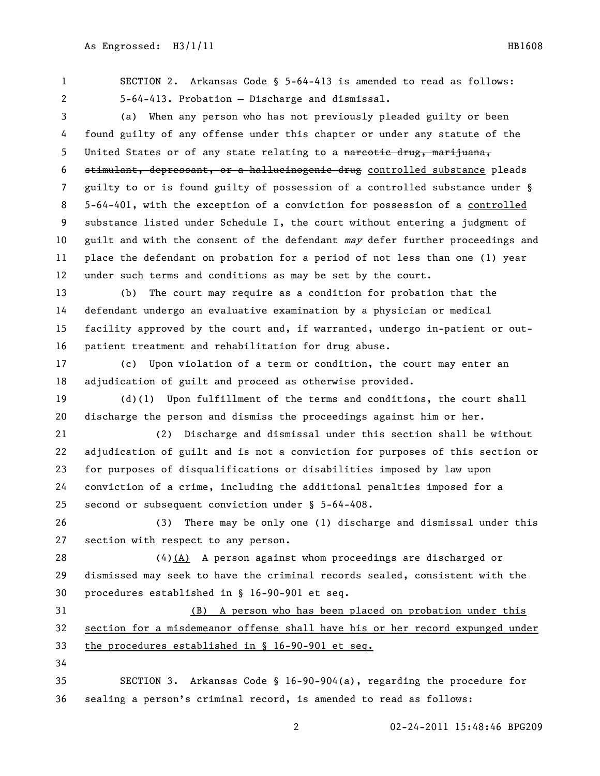SECTION 2. Arkansas Code § 5-64-413 is amended to read as follows: 5-64-413. Probation — Discharge and dismissal.

 (a) When any person who has not previously pleaded guilty or been found guilty of any offense under this chapter or under any statute of the 5 United States or of any state relating to a narcotic drug, marijuana, stimulant, depressant, or a hallucinogenic drug controlled substance pleads guilty to or is found guilty of possession of a controlled substance under § 5-64-401, with the exception of a conviction for possession of a controlled substance listed under Schedule I, the court without entering a judgment of 10 guilt and with the consent of the defendant may defer further proceedings and place the defendant on probation for a period of not less than one (1) year under such terms and conditions as may be set by the court.

 (b) The court may require as a condition for probation that the defendant undergo an evaluative examination by a physician or medical facility approved by the court and, if warranted, undergo in-patient or out-patient treatment and rehabilitation for drug abuse.

 (c) Upon violation of a term or condition, the court may enter an adjudication of guilt and proceed as otherwise provided.

 (d)(1) Upon fulfillment of the terms and conditions, the court shall discharge the person and dismiss the proceedings against him or her.

 (2) Discharge and dismissal under this section shall be without adjudication of guilt and is not a conviction for purposes of this section or for purposes of disqualifications or disabilities imposed by law upon conviction of a crime, including the additional penalties imposed for a second or subsequent conviction under § 5-64-408.

 (3) There may be only one (1) discharge and dismissal under this section with respect to any person.

 (4)(A) A person against whom proceedings are discharged or dismissed may seek to have the criminal records sealed, consistent with the procedures established in § 16-90-901 et seq.

 (B) A person who has been placed on probation under this section for a misdemeanor offense shall have his or her record expunged under the procedures established in § 16-90-901 et seq.

 SECTION 3. Arkansas Code § 16-90-904(a), regarding the procedure for sealing a person's criminal record, is amended to read as follows: